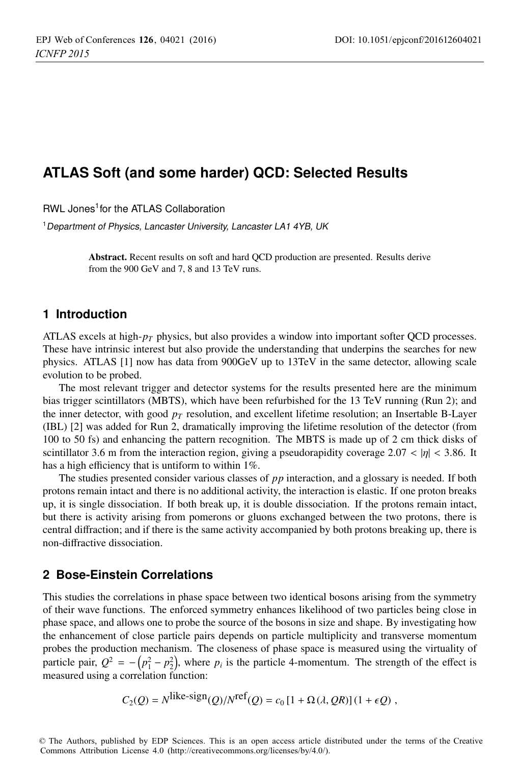# **ATLAS Soft (and some harder) QCD: Selected Results**

RWL Jones<sup>1</sup> for the ATLAS Collaboration

<sup>1</sup> Department of Physics, Lancaster University, Lancaster LA1 4YB, UK

Abstract. Recent results on soft and hard QCD production are presented. Results derive from the 900 GeV and 7, 8 and 13 TeV runs.

## **1 Introduction**

ATLAS excels at high-*pT* physics, but also provides a window into important softer QCD processes. These have intrinsic interest but also provide the understanding that underpins the searches for new physics. ATLAS [1] now has data from 900GeV up to 13TeV in the same detector, allowing scale evolution to be probed.

The most relevant trigger and detector systems for the results presented here are the minimum bias trigger scintillators (MBTS), which have been refurbished for the 13 TeV running (Run 2); and the inner detector, with good  $p_T$  resolution, and excellent lifetime resolution; an Insertable B-Layer (IBL) [2] was added for Run 2, dramatically improving the lifetime resolution of the detector (from 100 to 50 fs) and enhancing the pattern recognition. The MBTS is made up of 2 cm thick disks of scintillator 3.6 m from the interaction region, giving a pseudorapidity coverage 2.07 <  $|\eta|$  < 3.86. It has a high efficiency that is untiform to within 1%.

The studies presented consider various classes of *pp* interaction, and a glossary is needed. If both protons remain intact and there is no additional activity, the interaction is elastic. If one proton breaks up, it is single dissociation. If both break up, it is double dissociation. If the protons remain intact, but there is activity arising from pomerons or gluons exchanged between the two protons, there is central diffraction; and if there is the same activity accompanied by both protons breaking up, there is non-diffractive dissociation.

#### **2 Bose-Einstein Correlations**

This studies the correlations in phase space between two identical bosons arising from the symmetry of their wave functions. The enforced symmetry enhances likelihood of two particles being close in phase space, and allows one to probe the source of the bosons in size and shape. By investigating how the enhancement of close particle pairs depends on particle multiplicity and transverse momentum probes the production mechanism. The closeness of phase space is measured using the virtuality of particle pair,  $Q^2 = -\left(p_1^2 - p_2^2\right)$ , where  $p_i$  is the particle 4-momentum. The strength of the effect is measured using a correlation function:

$$
C_2(Q) = N^{\text{like-sign}}(Q)/N^{\text{ref}}(Q) = c_0 \left[1 + \Omega(\lambda, QR)\right](1 + \epsilon Q),
$$

© The Authors, published by EDP Sciences. This is an open access article distributed under the terms of the Creative Commons Attribution License 4.0 (http://creativecommons.org/licenses/by/4.0/).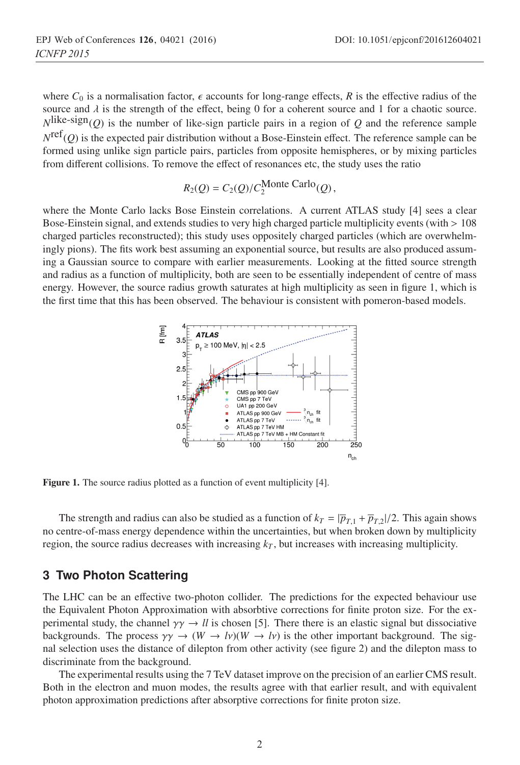where  $C_0$  is a normalisation factor,  $\epsilon$  accounts for long-range effects,  $R$  is the effective radius of the source and  $\lambda$  is the strength of the effect, being 0 for a coherent source and 1 for a chaotic source.  $N^{\text{like-sign}}(Q)$  is the number of like-sign particle pairs in a region of *Q* and the reference sample  $N^{\text{ref}}(Q)$  is the expected pair distribution without a Bose-Einstein effect. The reference sample can be formed using unlike sign particle pairs, particles from opposite hemispheres, or by mixing particles from different collisions. To remove the effect of resonances etc, the study uses the ratio

$$
R_2(Q) = C_2(Q)/C_2^{\text{Monte Carlo}}(Q),
$$

where the Monte Carlo lacks Bose Einstein correlations. A current ATLAS study [4] sees a clear Bose-Einstein signal, and extends studies to very high charged particle multiplicity events (with > 108 charged particles reconstructed); this study uses oppositely charged particles (which are overwhelmingly pions). The fits work best assuming an exponential source, but results are also produced assuming a Gaussian source to compare with earlier measurements. Looking at the fitted source strength and radius as a function of multiplicity, both are seen to be essentially independent of centre of mass energy. However, the source radius growth saturates at high multiplicity as seen in figure 1, which is the first time that this has been observed. The behaviour is consistent with pomeron-based models.



Figure 1. The source radius plotted as a function of event multiplicity [4].

The strength and radius can also be studied as a function of  $k_T = |\overline{p}_{T,1} + \overline{p}_{T,2}|/2$ . This again shows no centre-of-mass energy dependence within the uncertainties, but when broken down by multiplicity region, the source radius decreases with increasing  $k<sub>T</sub>$ , but increases with increasing multiplicity.

## **3 Two Photon Scattering**

The LHC can be an effective two-photon collider. The predictions for the expected behaviour use the Equivalent Photon Approximation with absorbtive corrections for finite proton size. For the experimental study, the channel  $\gamma \gamma \rightarrow ll$  is chosen [5]. There there is an elastic signal but dissociative backgrounds. The process  $\gamma \gamma \to (W \to l\nu)(W \to l\nu)$  is the other important background. The signal selection uses the distance of dilepton from other activity (see figure 2) and the dilepton mass to discriminate from the background.

The experimental results using the 7 TeV dataset improve on the precision of an earlier CMS result. Both in the electron and muon modes, the results agree with that earlier result, and with equivalent photon approximation predictions after absorptive corrections for finite proton size.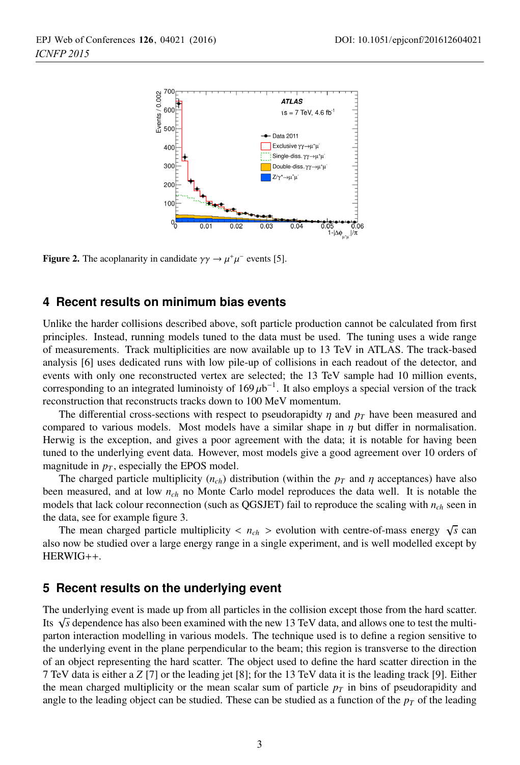

**Figure 2.** The acoplanarity in candidate  $\gamma \gamma \rightarrow \mu^+ \mu^-$  events [5].

## **4 Recent results on minimum bias events**

Unlike the harder collisions described above, soft particle production cannot be calculated from first principles. Instead, running models tuned to the data must be used. The tuning uses a wide range of measurements. Track multiplicities are now available up to 13 TeV in ATLAS. The track-based analysis [6] uses dedicated runs with low pile-up of collisions in each readout of the detector, and events with only one reconstructed vertex are selected; the 13 TeV sample had 10 million events, corresponding to an integrated luminoisty of  $169 \mu b^{-1}$ . It also employs a special version of the track reconstruction that reconstructs tracks down to 100 MeV momentum.

The differential cross-sections with respect to pseudorapidty  $\eta$  and  $p_T$  have been measured and compared to various models. Most models have a similar shape in  $\eta$  but differ in normalisation. Herwig is the exception, and gives a poor agreement with the data; it is notable for having been tuned to the underlying event data. However, most models give a good agreement over 10 orders of magnitude in  $p<sub>T</sub>$ , especially the EPOS model.

The charged particle multiplicity  $(n_{ch})$  distribution (within the  $p_T$  and  $\eta$  acceptances) have also been measured, and at low *nch* no Monte Carlo model reproduces the data well. It is notable the models that lack colour reconnection (such as QGSJET) fail to reproduce the scaling with *nch* seen in the data, see for example figure 3.

The mean charged particle multiplicity  $\langle n_{ch} \rangle$  evolution with centre-of-mass energy  $\sqrt{s}$  can also now be studied over a large energy range in a single experiment, and is well modelled except by HERWIG++.

#### **5 Recent results on the underlying event**

The underlying event is made up from all particles in the collision except those from the hard scatter. Its √*s* dependence has also been examined with the new 13 TeV data, and allows one to test the multiparton interaction modelling in various models. The technique used is to define a region sensitive to the underlying event in the plane perpendicular to the beam; this region is transverse to the direction of an object representing the hard scatter. The object used to define the hard scatter direction in the 7 TeV data is either a *Z* [7] or the leading jet [8]; for the 13 TeV data it is the leading track [9]. Either the mean charged multiplicity or the mean scalar sum of particle  $p<sub>T</sub>$  in bins of pseudorapidity and angle to the leading object can be studied. These can be studied as a function of the  $p<sub>T</sub>$  of the leading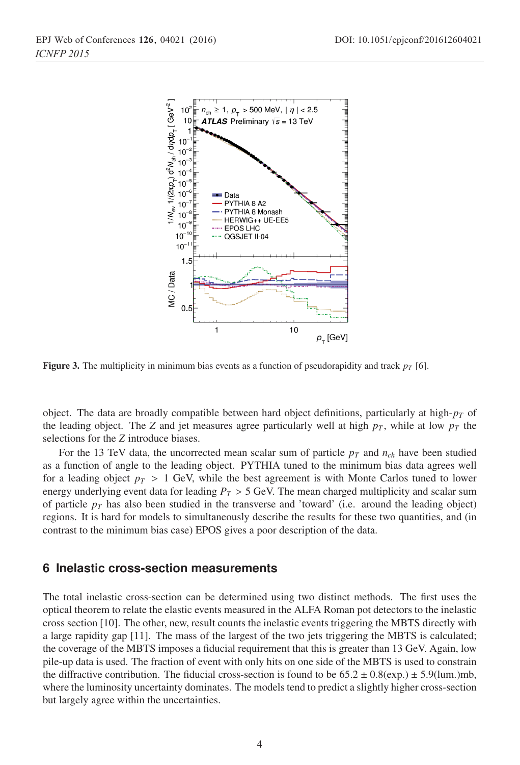

Figure 3. The multiplicity in minimum bias events as a function of pseudorapidity and track  $p_T$  [6].

object. The data are broadly compatible between hard object definitions, particularly at high- $p<sub>T</sub>$  of the leading object. The *Z* and jet measures agree particularly well at high  $p<sub>T</sub>$ , while at low  $p<sub>T</sub>$  the selections for the *Z* introduce biases.

For the 13 TeV data, the uncorrected mean scalar sum of particle  $p<sub>T</sub>$  and  $n<sub>ch</sub>$  have been studied as a function of angle to the leading object. PYTHIA tuned to the minimum bias data agrees well for a leading object  $p_T > 1$  GeV, while the best agreement is with Monte Carlos tuned to lower energy underlying event data for leading  $P_T > 5$  GeV. The mean charged multiplicity and scalar sum of particle  $p_T$  has also been studied in the transverse and 'toward' (i.e. around the leading object) regions. It is hard for models to simultaneously describe the results for these two quantities, and (in contrast to the minimum bias case) EPOS gives a poor description of the data.

#### **6 Inelastic cross-section measurements**

The total inelastic cross-section can be determined using two distinct methods. The first uses the optical theorem to relate the elastic events measured in the ALFA Roman pot detectors to the inelastic cross section [10]. The other, new, result counts the inelastic events triggering the MBTS directly with a large rapidity gap [11]. The mass of the largest of the two jets triggering the MBTS is calculated; the coverage of the MBTS imposes a fiducial requirement that this is greater than 13 GeV. Again, low pile-up data is used. The fraction of event with only hits on one side of the MBTS is used to constrain the diffractive contribution. The fiducial cross-section is found to be  $65.2 \pm 0.8$ (exp.)  $\pm 5.9$ (lum.)mb, where the luminosity uncertainty dominates. The models tend to predict a slightly higher cross-section but largely agree within the uncertainties.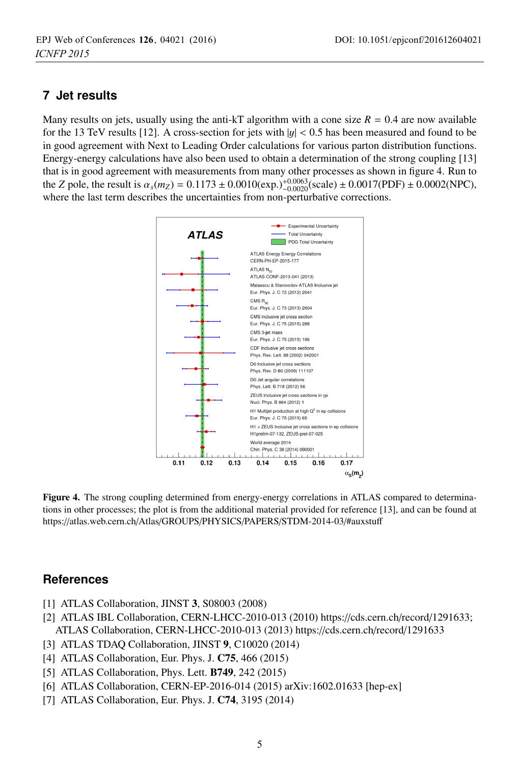## **7 Jet results**

Many results on jets, usually using the anti-kT algorithm with a cone size  $R = 0.4$  are now available for the 13 TeV results [12]. A cross-section for jets with  $|y| < 0.5$  has been measured and found to be in good agreement with Next to Leading Order calculations for various parton distribution functions. Energy-energy calculations have also been used to obtain a determination of the strong coupling [13] that is in good agreement with measurements from many other processes as shown in figure 4. Run to the *Z* pole, the result is  $\alpha_s(m_Z) = 0.1173 \pm 0.0010(\exp(\epsilon_0 t)^{+0.0063}_{-0.0020}(\text{scale}) \pm 0.0017(\text{PDF}) \pm 0.0002(\text{NPC})$ , where the last term describes the uncertainties from non-perturbative corrections.



Figure 4. The strong coupling determined from energy-energy correlations in ATLAS compared to determinations in other processes; the plot is from the additional material provided for reference [13], and can be found at https://atlas.web.cern.ch/Atlas/GROUPS/PHYSICS/PAPERS/STDM-2014-03/#auxstuff

## **References**

- [1] ATLAS Collaboration, JINST 3, S08003 (2008)
- [2] ATLAS IBL Collaboration, CERN-LHCC-2010-013 (2010) https://cds.cern.ch/record/1291633; ATLAS Collaboration, CERN-LHCC-2010-013 (2013) https://cds.cern.ch/record/1291633
- [3] ATLAS TDAQ Collaboration, JINST 9, C10020 (2014)
- [4] ATLAS Collaboration, Eur. Phys. J. C75, 466 (2015)
- [5] ATLAS Collaboration, Phys. Lett. B749, 242 (2015)
- [6] ATLAS Collaboration, CERN-EP-2016-014 (2015) arXiv:1602.01633 [hep-ex]
- [7] ATLAS Collaboration, Eur. Phys. J. C74, 3195 (2014)